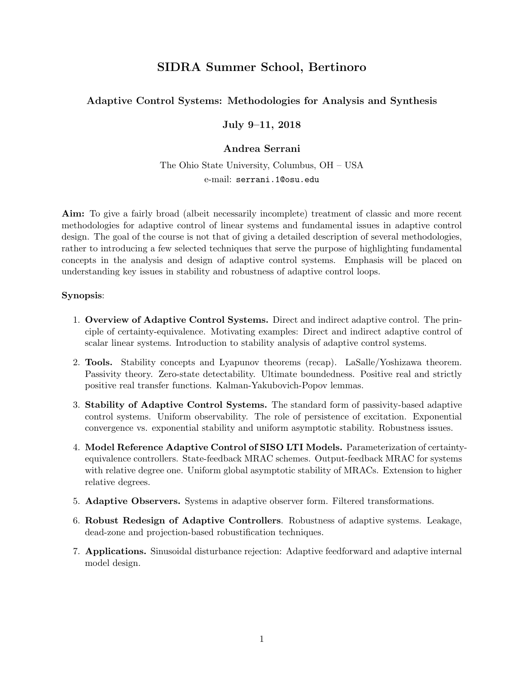# SIDRA Summer School, Bertinoro

## Adaptive Control Systems: Methodologies for Analysis and Synthesis

July 9–11, 2018

### Andrea Serrani

The Ohio State University, Columbus, OH – USA e-mail: serrani.1@osu.edu

Aim: To give a fairly broad (albeit necessarily incomplete) treatment of classic and more recent methodologies for adaptive control of linear systems and fundamental issues in adaptive control design. The goal of the course is not that of giving a detailed description of several methodologies, rather to introducing a few selected techniques that serve the purpose of highlighting fundamental concepts in the analysis and design of adaptive control systems. Emphasis will be placed on understanding key issues in stability and robustness of adaptive control loops.

#### Synopsis:

- 1. Overview of Adaptive Control Systems. Direct and indirect adaptive control. The principle of certainty-equivalence. Motivating examples: Direct and indirect adaptive control of scalar linear systems. Introduction to stability analysis of adaptive control systems.
- 2. Tools. Stability concepts and Lyapunov theorems (recap). LaSalle/Yoshizawa theorem. Passivity theory. Zero-state detectability. Ultimate boundedness. Positive real and strictly positive real transfer functions. Kalman-Yakubovich-Popov lemmas.
- 3. Stability of Adaptive Control Systems. The standard form of passivity-based adaptive control systems. Uniform observability. The role of persistence of excitation. Exponential convergence vs. exponential stability and uniform asymptotic stability. Robustness issues.
- 4. Model Reference Adaptive Control of SISO LTI Models. Parameterization of certaintyequivalence controllers. State-feedback MRAC schemes. Output-feedback MRAC for systems with relative degree one. Uniform global asymptotic stability of MRACs. Extension to higher relative degrees.
- 5. Adaptive Observers. Systems in adaptive observer form. Filtered transformations.
- 6. Robust Redesign of Adaptive Controllers. Robustness of adaptive systems. Leakage, dead-zone and projection-based robustification techniques.
- 7. Applications. Sinusoidal disturbance rejection: Adaptive feedforward and adaptive internal model design.